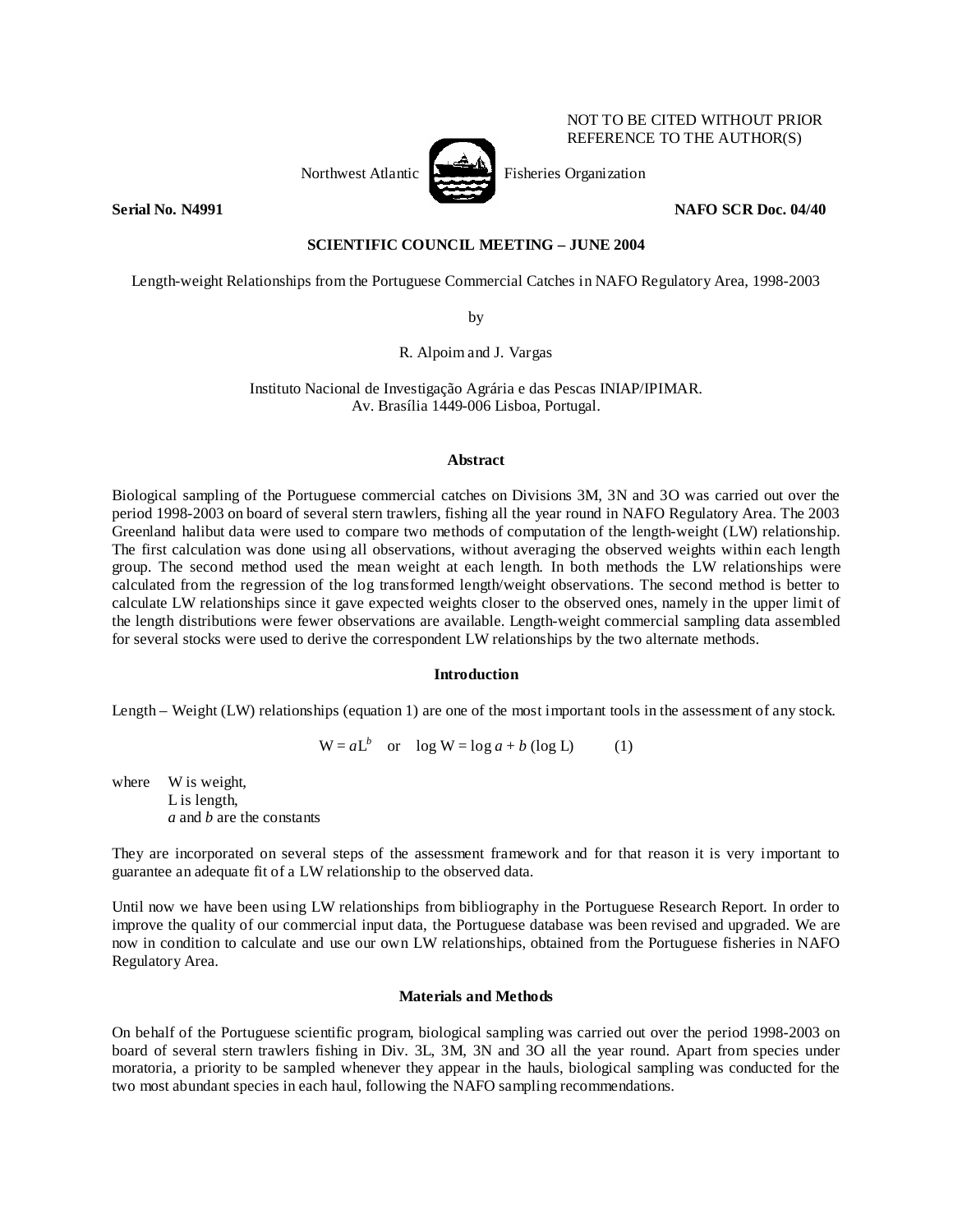Northwest Atlantic Fisheries Organization

**Serial No. N4991 NAFO SCR Doc. 04/40 NAFO SCR Doc. 04/40** 

NOT TO BE CITED WITHOUT PRIOR REFERENCE TO THE AUTHOR(S)

**SCIENTIFIC COUNCIL MEETING – JUNE 2004** 

Length-weight Relationships from the Portuguese Commercial Catches in NAFO Regulatory Area, 1998-2003

by

R. Alpoim and J. Vargas

Instituto Nacional de Investigação Agrária e das Pescas INIAP/IPIMAR. Av. Brasília 1449-006 Lisboa, Portugal.

#### **Abstract**

Biological sampling of the Portuguese commercial catches on Divisions 3M, 3N and 3O was carried out over the period 1998-2003 on board of several stern trawlers, fishing all the year round in NAFO Regulatory Area. The 2003 Greenland halibut data were used to compare two methods of computation of the length-weight (LW) relationship. The first calculation was done using all observations, without averaging the observed weights within each length group. The second method used the mean weight at each length. In both methods the LW relationships were calculated from the regression of the log transformed length/weight observations. The second method is better to calculate LW relationships since it gave expected weights closer to the observed ones, namely in the upper limit of the length distributions were fewer observations are available. Length-weight commercial sampling data assembled for several stocks were used to derive the correspondent LW relationships by the two alternate methods.

#### **Introduction**

Length – Weight (LW) relationships (equation 1) are one of the most important tools in the assessment of any stock.

 $W = aL^b$  or  $\log W = \log a + b \text{ (log L)}$  (1)

where W is weight, L is length, *a* and *b* are the constants

They are incorporated on several steps of the assessment framework and for that reason it is very important to guarantee an adequate fit of a LW relationship to the observed data.

Until now we have been using LW relationships from bibliography in the Portuguese Research Report. In order to improve the quality of our commercial input data, the Portuguese database was been revised and upgraded. We are now in condition to calculate and use our own LW relationships, obtained from the Portuguese fisheries in NAFO Regulatory Area.

## **Materials and Methods**

On behalf of the Portuguese scientific program, biological sampling was carried out over the period 1998-2003 on board of several stern trawlers fishing in Div. 3L, 3M, 3N and 3O all the year round. Apart from species under moratoria, a priority to be sampled whenever they appear in the hauls, biological sampling was conducted for the two most abundant species in each haul, following the NAFO sampling recommendations.

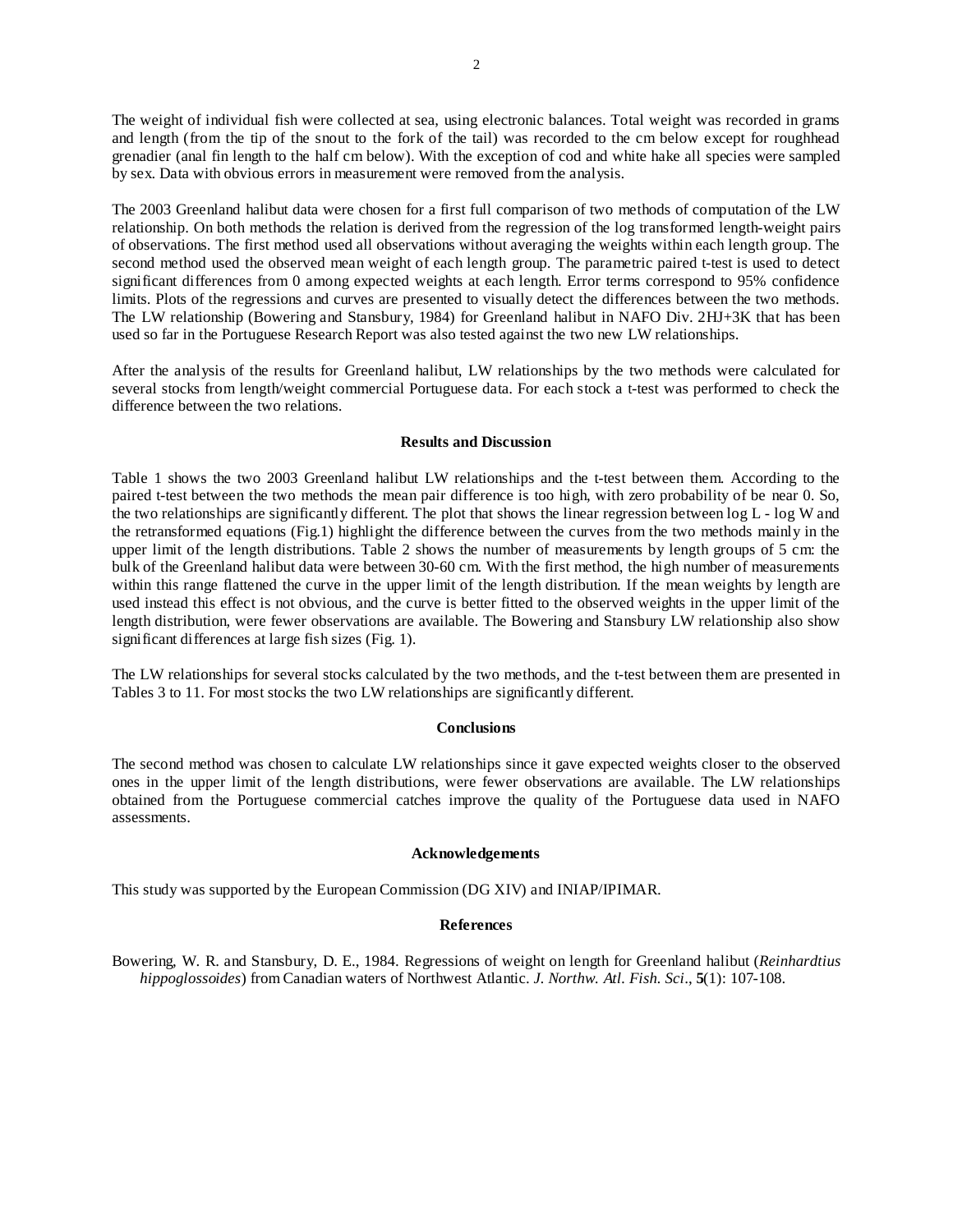The weight of individual fish were collected at sea, using electronic balances. Total weight was recorded in grams and length (from the tip of the snout to the fork of the tail) was recorded to the cm below except for roughhead grenadier (anal fin length to the half cm below). With the exception of cod and white hake all species were sampled by sex. Data with obvious errors in measurement were removed from the analysis.

The 2003 Greenland halibut data were chosen for a first full comparison of two methods of computation of the LW relationship. On both methods the relation is derived from the regression of the log transformed length-weight pairs of observations. The first method used all observations without averaging the weights within each length group. The second method used the observed mean weight of each length group. The parametric paired t-test is used to detect significant differences from 0 among expected weights at each length. Error terms correspond to 95% confidence limits. Plots of the regressions and curves are presented to visually detect the differences between the two methods. The LW relationship (Bowering and Stansbury, 1984) for Greenland halibut in NAFO Div. 2HJ+3K that has been used so far in the Portuguese Research Report was also tested against the two new LW relationships.

After the analysis of the results for Greenland halibut, LW relationships by the two methods were calculated for several stocks from length/weight commercial Portuguese data. For each stock a t-test was performed to check the difference between the two relations.

#### **Results and Discussion**

Table 1 shows the two 2003 Greenland halibut LW relationships and the t-test between them. According to the paired t-test between the two methods the mean pair difference is too high, with zero probability of be near 0. So, the two relationships are significantly different. The plot that shows the linear regression between log L - log W and the retransformed equations (Fig.1) highlight the difference between the curves from the two methods mainly in the upper limit of the length distributions. Table 2 shows the number of measurements by length groups of 5 cm: the bulk of the Greenland halibut data were between 30-60 cm. With the first method, the high number of measurements within this range flattened the curve in the upper limit of the length distribution. If the mean weights by length are used instead this effect is not obvious, and the curve is better fitted to the observed weights in the upper limit of the length distribution, were fewer observations are available. The Bowering and Stansbury LW relationship also show significant differences at large fish sizes (Fig. 1).

The LW relationships for several stocks calculated by the two methods, and the t-test between them are presented in Tables 3 to 11. For most stocks the two LW relationships are significantly different.

#### **Conclusions**

The second method was chosen to calculate LW relationships since it gave expected weights closer to the observed ones in the upper limit of the length distributions, were fewer observations are available. The LW relationships obtained from the Portuguese commercial catches improve the quality of the Portuguese data used in NAFO assessments.

#### **Acknowledgements**

This study was supported by the European Commission (DG XIV) and INIAP/IPIMAR.

#### **References**

Bowering, W. R. and Stansbury, D. E., 1984. Regressions of weight on length for Greenland halibut (*Reinhardtius hippoglossoides*) from Canadian waters of Northwest Atlantic. *J. Northw. Atl. Fish. Sci*., **5**(1): 107-108.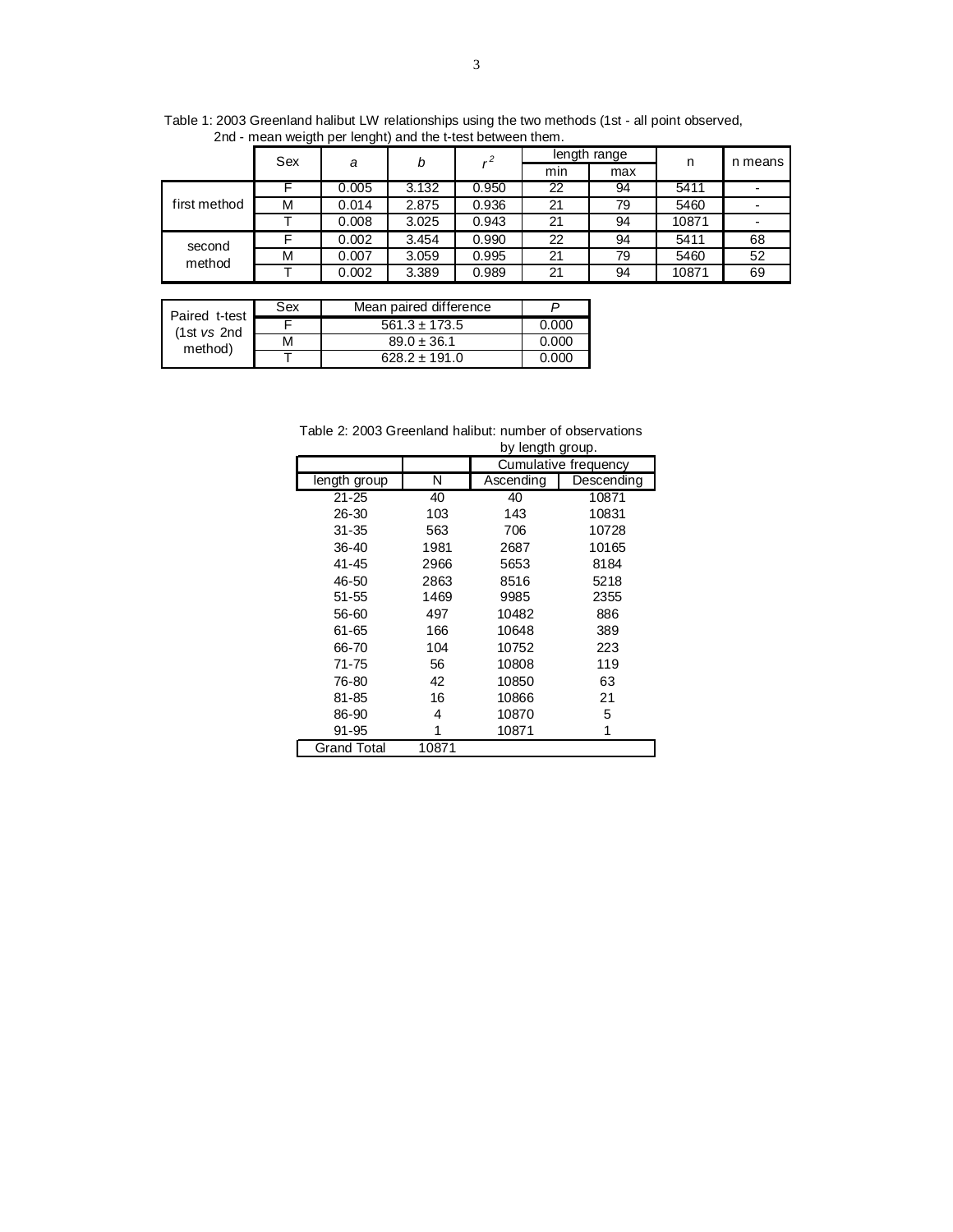|              | Sex | a     | b     |       |     | length range | n     | n means |
|--------------|-----|-------|-------|-------|-----|--------------|-------|---------|
|              |     |       |       |       | min | max          |       |         |
|              |     | 0.005 | 3.132 | 0.950 | 22  | 94           | 5411  |         |
| first method | М   | 0.014 | 2.875 | 0.936 | 21  | 79           | 5460  |         |
|              |     | 0.008 | 3.025 | 0.943 | 21  | 94           | 10871 |         |
| second       |     | 0.002 | 3.454 | 0.990 | 22  | 94           | 5411  | 68      |
| method       | М   | 0.007 | 3.059 | 0.995 | 21  | 79           | 5460  | 52      |
|              |     | 0.002 | 3.389 | 0.989 | 21  | 94           | 10871 | 69      |

Table 1: 2003 Greenland halibut LW relationships using the two methods (1st - all point observed, 2nd - mean weigth per lenght) and the t-test between them.

| Paired t-test | Sex | Mean paired difference |       |
|---------------|-----|------------------------|-------|
| (1st vs 2nd)  |     | $561.3 \pm 173.5$      | 0.000 |
| method)       | м   | $89.0 \pm 36.1$        | 0.000 |
|               |     | $628.2 \pm 191.0$      | റ റററ |

Table 2: 2003 Greenland halibut: number of observations

|              |       | by length group. |                      |
|--------------|-------|------------------|----------------------|
|              |       |                  | Cumulative frequency |
| length group | N     | Ascending        | Descending           |
| 21-25        | 40    | 40               | 10871                |
| 26-30        | 103   | 143              | 10831                |
| $31 - 35$    | 563   | 706              | 10728                |
| $36 - 40$    | 1981  | 2687             | 10165                |
| 41-45        | 2966  | 5653             | 8184                 |
| 46-50        | 2863  | 8516             | 5218                 |
| $51 - 55$    | 1469  | 9985             | 2355                 |
| 56-60        | 497   | 10482            | 886                  |
| 61-65        | 166   | 10648            | 389                  |
| 66-70        | 104   | 10752            | 223                  |
| $71 - 75$    | 56    | 10808            | 119                  |
| 76-80        | 42    | 10850            | 63                   |
| 81-85        | 16    | 10866            | 21                   |
| 86-90        | 4     | 10870            | 5                    |
| 91-95        | 1     | 10871            | 1                    |
| Grand Total  | 10871 |                  |                      |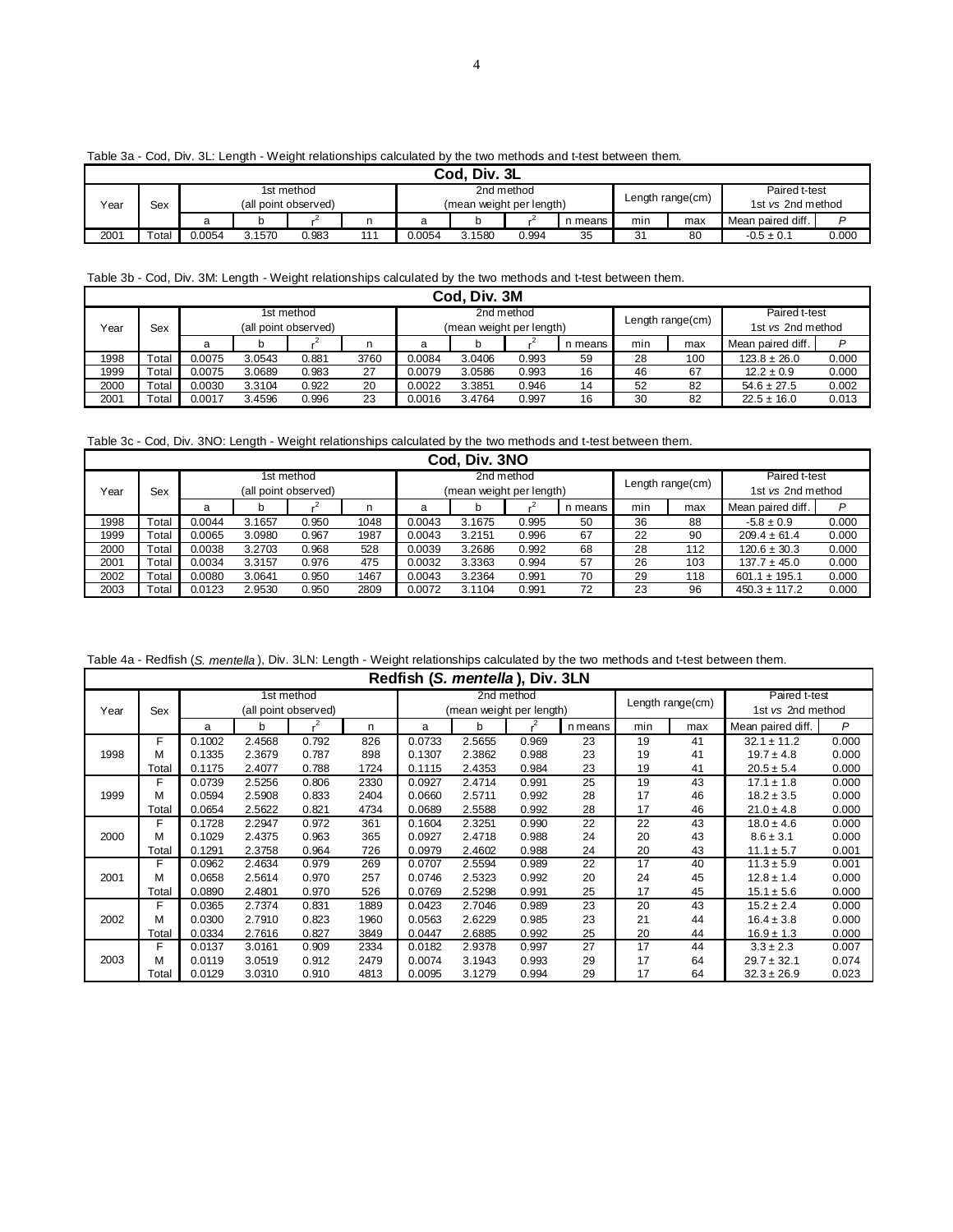| .    |              |   |  |                                    |  |  |                          |            |           |     |                     |                                    |  |
|------|--------------|---|--|------------------------------------|--|--|--------------------------|------------|-----------|-----|---------------------|------------------------------------|--|
|      | Cod, Div. 3L |   |  |                                    |  |  |                          |            |           |     |                     |                                    |  |
| Year | Sex          |   |  | 1st method<br>(all point observed) |  |  | (mean weight per length) | 2nd method |           |     | Length range $(cm)$ | Paired t-test<br>1st vs 2nd method |  |
|      |              | a |  |                                    |  |  |                          |            | n means I | min | max                 | Mean paired diff.                  |  |

2001 | Total | 0.0054 3.1570 0.983 111 | 0.0054 3.1580 0.994 35 | 31 80 | -0.5 ± 0.1 0.000

#### Table 3a - Cod, Div. 3L: Length - Weight relationships calculated by the two methods and t-test between them.

### Table 3b - Cod, Div. 3M: Length - Weight relationships calculated by the two methods and t-test between them.

|      | Cod. Div. 3M                |        |        |            |      |                          |        |            |         |     |                  |                   |       |
|------|-----------------------------|--------|--------|------------|------|--------------------------|--------|------------|---------|-----|------------------|-------------------|-------|
|      |                             |        |        | 1st method |      |                          |        | 2nd method |         |     |                  | Paired t-test     |       |
| Year | (all point observed)<br>Sex |        |        |            |      | (mean weight per length) |        |            |         |     | Length range(cm) | 1st vs 2nd method |       |
|      |                             | a      |        |            | n    | a                        |        |            | n means | min | max              | Mean paired diff. | D     |
| 1998 | Total                       | 0.0075 | 3.0543 | 0.881      | 3760 | 0.0084                   | 3.0406 | 0.993      | 59      | 28  | 100              | $123.8 \pm 26.0$  | 0.000 |
| 1999 | Total                       | 0.0075 | 3.0689 | 0.983      | 27   | 0.0079                   | 3.0586 | 0.993      | 16      | 46  | 67               | $12.2 \pm 0.9$    | 0.000 |
| 2000 | Total                       | 0.0030 | 3.3104 | 0.922      | 20   | 0.0022                   | 3.3851 | 0.946      | 14      | 52  | 82               | $54.6 \pm 27.5$   | 0.002 |
| 2001 | Total                       | 0.0017 | 3.4596 | 0.996      | 23   | 0.0016                   | 3.4764 | 0.997      | 16      | 30  | 82               | $22.5 \pm 16.0$   | 0.013 |

Table 3c - Cod, Div. 3NO: Length - Weight relationships calculated by the two methods and t-test between them.

| Cod, Div. 3NO                                                                                      |                            |  |  |  |  |  |  |  |  |  |  |  |
|----------------------------------------------------------------------------------------------------|----------------------------|--|--|--|--|--|--|--|--|--|--|--|
| 2nd method<br>1st method                                                                           | Paired t-test              |  |  |  |  |  |  |  |  |  |  |  |
| Length range(cm)<br>(mean weight per length)<br>(all point observed)<br>Year<br>Sex                | 1st vs 2nd method          |  |  |  |  |  |  |  |  |  |  |  |
| min<br>n means<br>max<br>n<br>a<br>a<br>b                                                          | P<br>Mean paired diff.     |  |  |  |  |  |  |  |  |  |  |  |
| Total<br>1998<br>1048<br>36<br>0.0044<br>3.1657<br>0.950<br>88<br>0.0043<br>3.1675<br>0.995<br>50  | 0.000<br>$-5.8 \pm 0.9$    |  |  |  |  |  |  |  |  |  |  |  |
| Total<br>1999<br>1987<br>67<br>0.0065<br>0.967<br>22<br>90<br>3.0980<br>0.0043<br>3.2151<br>0.996  | 0.000<br>$209.4 \pm 61.4$  |  |  |  |  |  |  |  |  |  |  |  |
| Total<br>68<br>2000<br>0.0038<br>528<br>28<br>3.2703<br>0.968<br>0.0039<br>3.2686<br>0.992<br>112  | 0.000<br>$120.6 \pm 30.3$  |  |  |  |  |  |  |  |  |  |  |  |
| Total<br>2001<br>0.0034<br>3.3157<br>0.976<br>475<br>0.0032<br>3.3363<br>57<br>26<br>103<br>0.994  | 0.000<br>$137.7 \pm 45.0$  |  |  |  |  |  |  |  |  |  |  |  |
| Total<br>2002<br>0.0080<br>1467<br>29<br>3.0641<br>0.950<br>0.0043<br>3.2364<br>0.991<br>70<br>118 | 0.000<br>$601.1 \pm 195.1$ |  |  |  |  |  |  |  |  |  |  |  |
| Total<br>2003<br>2809<br>72<br>23<br>0.0123<br>2.9530<br>0.950<br>0.0072<br>3.1104<br>96<br>0.991  | $450.3 \pm 117.2$<br>0.000 |  |  |  |  |  |  |  |  |  |  |  |

Table 4a - Redfish (*S. mentella* ), Div. 3LN: Length - Weight relationships calculated by the two methods and t-test between them.

|      | Redfish (S. mentella), Div. 3LN |        |        |                      |      |        |                          |            |         |     |                  |                   |       |
|------|---------------------------------|--------|--------|----------------------|------|--------|--------------------------|------------|---------|-----|------------------|-------------------|-------|
|      |                                 |        |        | 1st method           |      |        |                          | 2nd method |         |     | Length range(cm) | Paired t-test     |       |
| Year | Sex                             |        |        | (all point observed) |      |        | (mean weight per length) |            |         |     |                  | 1st vs 2nd method |       |
|      |                                 | a      | b      | $\cdot^2$            | n    | a      | b                        |            | n means | min | max              | Mean paired diff. | P     |
|      | F                               | 0.1002 | 2.4568 | 0.792                | 826  | 0.0733 | 2.5655                   | 0.969      | 23      | 19  | 41               | $32.1 \pm 11.2$   | 0.000 |
| 1998 | М                               | 0.1335 | 2.3679 | 0.787                | 898  | 0.1307 | 2.3862                   | 0.988      | 23      | 19  | 41               | $19.7 \pm 4.8$    | 0.000 |
|      | Total                           | 0.1175 | 2.4077 | 0.788                | 1724 | 0.1115 | 2.4353                   | 0.984      | 23      | 19  | 41               | $20.5 \pm 5.4$    | 0.000 |
|      | F                               | 0.0739 | 2.5256 | 0.806                | 2330 | 0.0927 | 2.4714                   | 0.991      | 25      | 19  | 43               | $17.1 \pm 1.8$    | 0.000 |
| 1999 | м                               | 0.0594 | 2.5908 | 0.833                | 2404 | 0.0660 | 2.5711                   | 0.992      | 28      | 17  | 46               | $18.2 \pm 3.5$    | 0.000 |
|      | Total                           | 0.0654 | 2.5622 | 0.821                | 4734 | 0.0689 | 2.5588                   | 0.992      | 28      | 17  | 46               | $21.0 \pm 4.8$    | 0.000 |
|      | F                               | 0.1728 | 2.2947 | 0.972                | 361  | 0.1604 | 2.3251                   | 0.990      | 22      | 22  | 43               | $18.0 \pm 4.6$    | 0.000 |
| 2000 | м                               | 0.1029 | 2.4375 | 0.963                | 365  | 0.0927 | 2.4718                   | 0.988      | 24      | 20  | 43               | $8.6 \pm 3.1$     | 0.000 |
|      | Total                           | 0.1291 | 2.3758 | 0.964                | 726  | 0.0979 | 2.4602                   | 0.988      | 24      | 20  | 43               | $11.1 \pm 5.7$    | 0.001 |
|      | F                               | 0.0962 | 2.4634 | 0.979                | 269  | 0.0707 | 2.5594                   | 0.989      | 22      | 17  | 40               | $11.3 \pm 5.9$    | 0.001 |
| 2001 | М                               | 0.0658 | 2.5614 | 0.970                | 257  | 0.0746 | 2.5323                   | 0.992      | 20      | 24  | 45               | $12.8 \pm 1.4$    | 0.000 |
|      | Total                           | 0.0890 | 2.4801 | 0.970                | 526  | 0.0769 | 2.5298                   | 0.991      | 25      | 17  | 45               | $15.1 \pm 5.6$    | 0.000 |
|      | F                               | 0.0365 | 2.7374 | 0.831                | 1889 | 0.0423 | 2.7046                   | 0.989      | 23      | 20  | 43               | $15.2 \pm 2.4$    | 0.000 |
| 2002 | М                               | 0.0300 | 2.7910 | 0.823                | 1960 | 0.0563 | 2.6229                   | 0.985      | 23      | 21  | 44               | $16.4 \pm 3.8$    | 0.000 |
|      | Total                           | 0.0334 | 2.7616 | 0.827                | 3849 | 0.0447 | 2.6885                   | 0.992      | 25      | 20  | 44               | $16.9 \pm 1.3$    | 0.000 |
|      | F                               | 0.0137 | 3.0161 | 0.909                | 2334 | 0.0182 | 2.9378                   | 0.997      | 27      | 17  | 44               | $3.3 \pm 2.3$     | 0.007 |
| 2003 | м                               | 0.0119 | 3.0519 | 0.912                | 2479 | 0.0074 | 3.1943                   | 0.993      | 29      | 17  | 64               | $29.7 \pm 32.1$   | 0.074 |
|      | Total                           | 0.0129 | 3.0310 | 0.910                | 4813 | 0.0095 | 3.1279                   | 0.994      | 29      | 17  | 64               | $32.3 \pm 26.9$   | 0.023 |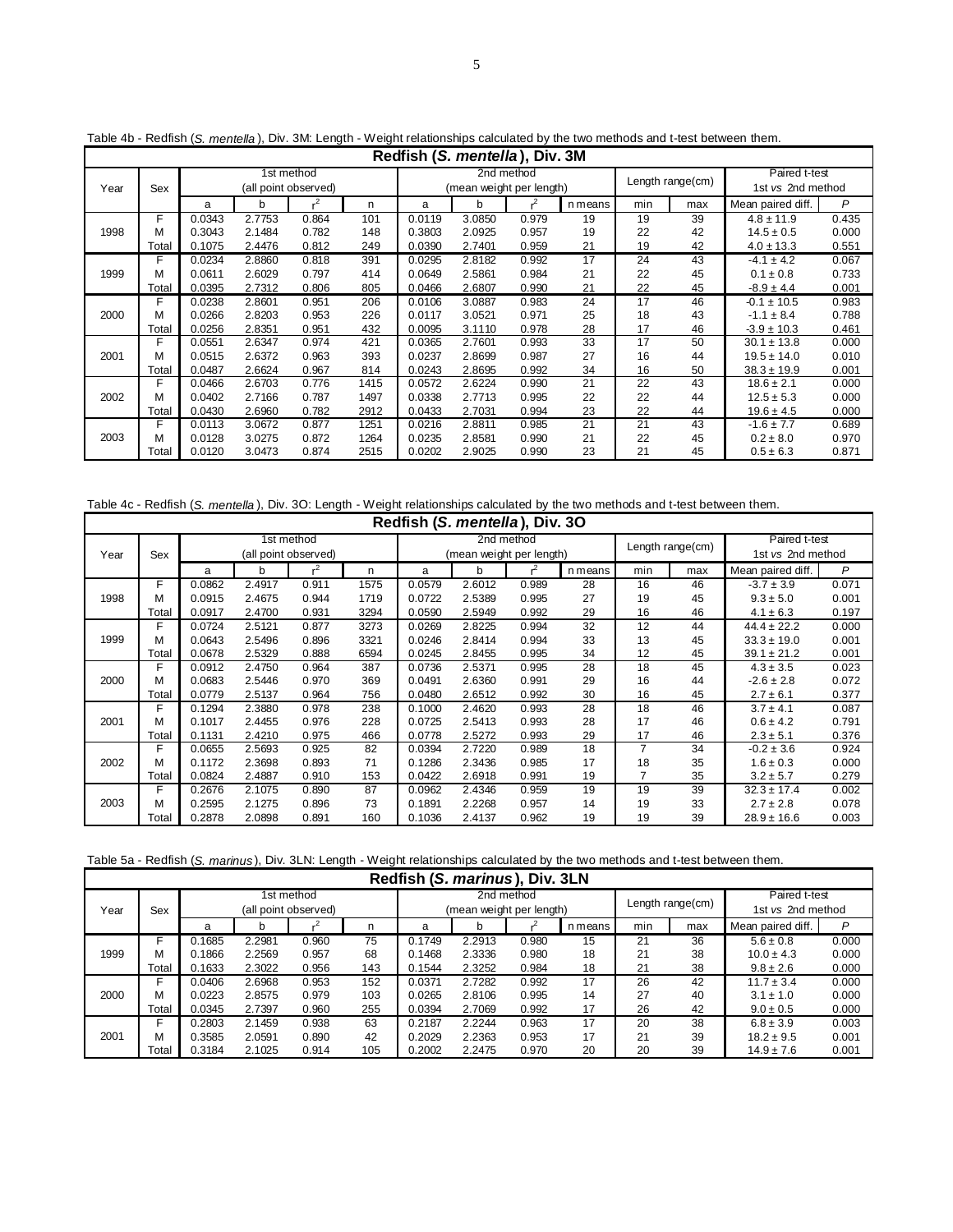|      | Redfish (S. mentella), Div. 3M |        |        |                      |      |        |                          |       |         |     |                  |                   |       |
|------|--------------------------------|--------|--------|----------------------|------|--------|--------------------------|-------|---------|-----|------------------|-------------------|-------|
|      |                                |        |        | 1st method           |      |        | 2nd method               |       |         |     | Length range(cm) | Paired t-test     |       |
| Year | Sex                            |        |        | (all point observed) |      |        | (mean weight per length) |       |         |     |                  | 1st vs 2nd method |       |
|      |                                | a      | b      |                      | n    | a      | b                        |       | n means | min | max              | Mean paired diff. | P     |
|      | F                              | 0.0343 | 2.7753 | 0.864                | 101  | 0.0119 | 3.0850                   | 0.979 | 19      | 19  | 39               | $4.8 \pm 11.9$    | 0.435 |
| 1998 | М                              | 0.3043 | 2.1484 | 0.782                | 148  | 0.3803 | 2.0925                   | 0.957 | 19      | 22  | 42               | $14.5 \pm 0.5$    | 0.000 |
|      | Total                          | 0.1075 | 2.4476 | 0.812                | 249  | 0.0390 | 2.7401                   | 0.959 | 21      | 19  | 42               | $4.0 \pm 13.3$    | 0.551 |
|      | F                              | 0.0234 | 2.8860 | 0.818                | 391  | 0.0295 | 2.8182                   | 0.992 | 17      | 24  | 43               | $-4.1 \pm 4.2$    | 0.067 |
| 1999 | М                              | 0.0611 | 2.6029 | 0.797                | 414  | 0.0649 | 2.5861                   | 0.984 | 21      | 22  | 45               | $0.1 \pm 0.8$     | 0.733 |
|      | Total                          | 0.0395 | 2.7312 | 0.806                | 805  | 0.0466 | 2.6807                   | 0.990 | 21      | 22  | 45               | $-8.9 \pm 4.4$    | 0.001 |
|      | F                              | 0.0238 | 2.8601 | 0.951                | 206  | 0.0106 | 3.0887                   | 0.983 | 24      | 17  | 46               | $-0.1 \pm 10.5$   | 0.983 |
| 2000 | М                              | 0.0266 | 2.8203 | 0.953                | 226  | 0.0117 | 3.0521                   | 0.971 | 25      | 18  | 43               | $-1.1 \pm 8.4$    | 0.788 |
|      | Total                          | 0.0256 | 2.8351 | 0.951                | 432  | 0.0095 | 3.1110                   | 0.978 | 28      | 17  | 46               | $-3.9 \pm 10.3$   | 0.461 |
|      | F                              | 0.0551 | 2.6347 | 0.974                | 421  | 0.0365 | 2.7601                   | 0.993 | 33      | 17  | 50               | $30.1 \pm 13.8$   | 0.000 |
| 2001 | М                              | 0.0515 | 2.6372 | 0.963                | 393  | 0.0237 | 2.8699                   | 0.987 | 27      | 16  | 44               | $19.5 \pm 14.0$   | 0.010 |
|      | Total                          | 0.0487 | 2.6624 | 0.967                | 814  | 0.0243 | 2.8695                   | 0.992 | 34      | 16  | 50               | $38.3 \pm 19.9$   | 0.001 |
|      | F                              | 0.0466 | 2.6703 | 0.776                | 1415 | 0.0572 | 2.6224                   | 0.990 | 21      | 22  | 43               | $18.6 \pm 2.1$    | 0.000 |
| 2002 | М                              | 0.0402 | 2.7166 | 0.787                | 1497 | 0.0338 | 2.7713                   | 0.995 | 22      | 22  | 44               | $12.5 \pm 5.3$    | 0.000 |
|      | Total                          | 0.0430 | 2.6960 | 0.782                | 2912 | 0.0433 | 2.7031                   | 0.994 | 23      | 22  | 44               | $19.6 \pm 4.5$    | 0.000 |
|      |                                | 0.0113 | 3.0672 | 0.877                | 1251 | 0.0216 | 2.8811                   | 0.985 | 21      | 21  | 43               | $-1.6 \pm 7.7$    | 0.689 |
| 2003 | М                              | 0.0128 | 3.0275 | 0.872                | 1264 | 0.0235 | 2.8581                   | 0.990 | 21      | 22  | 45               | $0.2 \pm 8.0$     | 0.970 |
|      | Total                          | 0.0120 | 3.0473 | 0.874                | 2515 | 0.0202 | 2.9025                   | 0.990 | 23      | 21  | 45               | $0.5 \pm 6.3$     | 0.871 |

Table 4b - Redfish (*S. mentella* ), Div. 3M: Length - Weight relationships calculated by the two methods and t-test between them.

Table 4c - Redfish (*S. mentella* ), Div. 3O: Length - Weight relationships calculated by the two methods and t-test between them.

|      | Redfish (S. mentella), Div. 30 |        |        |                      |      |        |                          |            |         |     |                  |                   |       |
|------|--------------------------------|--------|--------|----------------------|------|--------|--------------------------|------------|---------|-----|------------------|-------------------|-------|
|      |                                |        |        | 1st method           |      |        |                          | 2nd method |         |     | Length range(cm) | Paired t-test     |       |
| Year | Sex                            |        |        | (all point observed) |      |        | (mean weight per length) |            |         |     |                  | 1st vs 2nd method |       |
|      |                                | a      | b      | .2                   | n    | a      | b                        |            | n means | min | max              | Mean paired diff. | P     |
|      | F                              | 0.0862 | 2.4917 | 0.911                | 1575 | 0.0579 | 2.6012                   | 0.989      | 28      | 16  | 46               | $-3.7 \pm 3.9$    | 0.071 |
| 1998 | М                              | 0.0915 | 2.4675 | 0.944                | 1719 | 0.0722 | 2.5389                   | 0.995      | 27      | 19  | 45               | $9.3 \pm 5.0$     | 0.001 |
|      | Total                          | 0.0917 | 2.4700 | 0.931                | 3294 | 0.0590 | 2.5949                   | 0.992      | 29      | 16  | 46               | $4.1 \pm 6.3$     | 0.197 |
|      | F                              | 0.0724 | 2.5121 | 0.877                | 3273 | 0.0269 | 2.8225                   | 0.994      | 32      | 12  | 44               | $44.4 \pm 22.2$   | 0.000 |
| 1999 | М                              | 0.0643 | 2.5496 | 0.896                | 3321 | 0.0246 | 2.8414                   | 0.994      | 33      | 13  | 45               | $33.3 \pm 19.0$   | 0.001 |
|      | Total                          | 0.0678 | 2.5329 | 0.888                | 6594 | 0.0245 | 2.8455                   | 0.995      | 34      | 12  | 45               | $39.1 \pm 21.2$   | 0.001 |
|      | F                              | 0.0912 | 2.4750 | 0.964                | 387  | 0.0736 | 2.5371                   | 0.995      | 28      | 18  | 45               | $4.3 \pm 3.5$     | 0.023 |
| 2000 | м                              | 0.0683 | 2.5446 | 0.970                | 369  | 0.0491 | 2.6360                   | 0.991      | 29      | 16  | 44               | $-2.6 \pm 2.8$    | 0.072 |
|      | Total                          | 0.0779 | 2.5137 | 0.964                | 756  | 0.0480 | 2.6512                   | 0.992      | 30      | 16  | 45               | $2.7 \pm 6.1$     | 0.377 |
|      | F                              | 0.1294 | 2.3880 | 0.978                | 238  | 0.1000 | 2.4620                   | 0.993      | 28      | 18  | 46               | $3.7 \pm 4.1$     | 0.087 |
| 2001 | м                              | 0.1017 | 2.4455 | 0.976                | 228  | 0.0725 | 2.5413                   | 0.993      | 28      | 17  | 46               | $0.6 \pm 4.2$     | 0.791 |
|      | Total                          | 0.1131 | 2.4210 | 0.975                | 466  | 0.0778 | 2.5272                   | 0.993      | 29      | 17  | 46               | $2.3 \pm 5.1$     | 0.376 |
|      | F                              | 0.0655 | 2.5693 | 0.925                | 82   | 0.0394 | 2.7220                   | 0.989      | 18      | 7   | 34               | $-0.2 \pm 3.6$    | 0.924 |
| 2002 | м                              | 0.1172 | 2.3698 | 0.893                | 71   | 0.1286 | 2.3436                   | 0.985      | 17      | 18  | 35               | $1.6 \pm 0.3$     | 0.000 |
|      | Total                          | 0.0824 | 2.4887 | 0.910                | 153  | 0.0422 | 2.6918                   | 0.991      | 19      | 7   | 35               | $3.2 \pm 5.7$     | 0.279 |
|      | F                              | 0.2676 | 2.1075 | 0.890                | 87   | 0.0962 | 2.4346                   | 0.959      | 19      | 19  | 39               | $32.3 \pm 17.4$   | 0.002 |
| 2003 | м                              | 0.2595 | 2.1275 | 0.896                | 73   | 0.1891 | 2.2268                   | 0.957      | 14      | 19  | 33               | $2.7 \pm 2.8$     | 0.078 |
|      | Total                          | 0.2878 | 2.0898 | 0.891                | 160  | 0.1036 | 2.4137                   | 0.962      | 19      | 19  | 39               | $28.9 \pm 16.6$   | 0.003 |

| Table 5a - Redfish (S. marinus), Div. 3LN: Length - Weight relationships calculated by the two methods and t-test between them. |  |  |
|---------------------------------------------------------------------------------------------------------------------------------|--|--|
|---------------------------------------------------------------------------------------------------------------------------------|--|--|

|                                                               | Redfish (S. marinus), Div. 3LN |        |        |                      |     |        |                          |       |         |     |     |                   |       |
|---------------------------------------------------------------|--------------------------------|--------|--------|----------------------|-----|--------|--------------------------|-------|---------|-----|-----|-------------------|-------|
| Paired t-test<br>2nd method<br>1st method<br>Length range(cm) |                                |        |        |                      |     |        |                          |       |         |     |     |                   |       |
| Year                                                          | Sex                            |        |        | (all point observed) |     |        | (mean weight per length) |       |         |     |     | 1st vs 2nd method |       |
|                                                               |                                | a      | b      |                      | n   | a      | b                        |       | n means | min | max | Mean paired diff. | P     |
|                                                               |                                | 0.1685 | 2.2981 | 0.960                | 75  | 0.1749 | 2.2913                   | 0.980 | 15      | 21  | 36  | $5.6 \pm 0.8$     | 0.000 |
| 1999                                                          | м                              | 0.1866 | 2.2569 | 0.957                | 68  | 0.1468 | 2.3336                   | 0.980 | 18      | 21  | 38  | $10.0 \pm 4.3$    | 0.000 |
|                                                               | Total                          | 0.1633 | 2.3022 | 0.956                | 143 | 0.1544 | 2.3252                   | 0.984 | 18      | 21  | 38  | $9.8 \pm 2.6$     | 0.000 |
|                                                               | F                              | 0.0406 | 2.6968 | 0.953                | 152 | 0.0371 | 2.7282                   | 0.992 | 17      | 26  | 42  | $11.7 \pm 3.4$    | 0.000 |
| 2000                                                          | м                              | 0.0223 | 2.8575 | 0.979                | 103 | 0.0265 | 2.8106                   | 0.995 | 14      | 27  | 40  | $3.1 \pm 1.0$     | 0.000 |
|                                                               | Total                          | 0.0345 | 2.7397 | 0.960                | 255 | 0.0394 | 2.7069                   | 0.992 | 17      | 26  | 42  | $9.0 \pm 0.5$     | 0.000 |
|                                                               | F                              | 0.2803 | 2.1459 | 0.938                | 63  | 0.2187 | 2.2244                   | 0.963 | 17      | 20  | 38  | $6.8 \pm 3.9$     | 0.003 |
| 2001                                                          | м                              | 0.3585 | 2.0591 | 0.890                | 42  | 0.2029 | 2.2363                   | 0.953 | 17      | 21  | 39  | $18.2 \pm 9.5$    | 0.001 |
|                                                               | Total                          | 0.3184 | 2.1025 | 0.914                | 105 | 0.2002 | 2.2475                   | 0.970 | 20      | 20  | 39  | $14.9 \pm 7.6$    | 0.001 |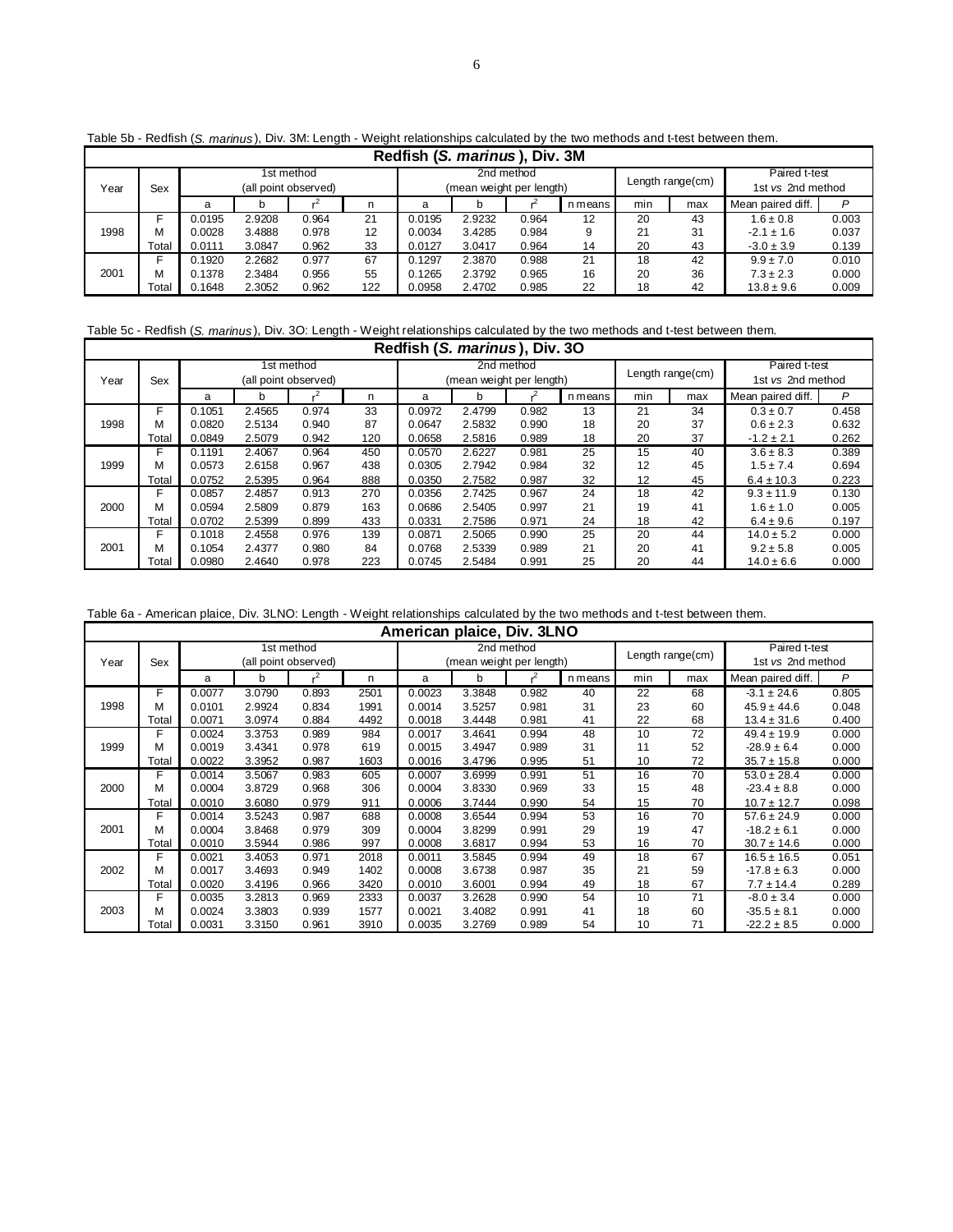|      | Redfish (S. marinus), Div. 3M |        |                      |            |     |        |                          |            |         |                  |     |                   |       |
|------|-------------------------------|--------|----------------------|------------|-----|--------|--------------------------|------------|---------|------------------|-----|-------------------|-------|
|      |                               |        |                      | 1st method |     |        |                          | 2nd method |         |                  |     | Paired t-test     |       |
| Year | Sex                           |        | (all point observed) |            |     |        | (mean weight per length) |            |         | Length range(cm) |     | 1st vs 2nd method |       |
|      |                               | a      |                      |            | n   | a      |                          |            | n means | min              | max | Mean paired diff. | P     |
|      |                               | 0.0195 | 2.9208               | 0.964      | 21  | 0.0195 | 2.9232                   | 0.964      | 12      | 20               | 43  | $1.6 \pm 0.8$     | 0.003 |
| 1998 | м                             | 0.0028 | 3.4888               | 0.978      | 12  | 0.0034 | 3.4285                   | 0.984      | 9       | 21               | 31  | $-2.1 \pm 1.6$    | 0.037 |
|      | Total                         | 0.0111 | 3.0847               | 0.962      | 33  | 0.0127 | 3.0417                   | 0.964      | 14      | 20               | 43  | $-3.0 \pm 3.9$    | 0.139 |
|      |                               | 0.1920 | 2.2682               | 0.977      | 67  | 0.1297 | 2.3870                   | 0.988      | 21      | 18               | 42  | $9.9 \pm 7.0$     | 0.010 |
| 2001 | м                             | 0.1378 | 2.3484               | 0.956      | 55  | 0.1265 | 2.3792                   | 0.965      | 16      | 20               | 36  | $7.3 \pm 2.3$     | 0.000 |
|      | Total                         | 0.1648 | 2.3052               | 0.962      | 122 | 0.0958 | 2.4702                   | 0.985      | 22      | 18               | 42  | $13.8 \pm 9.6$    | 0.009 |

Table 5b - Redfish (*S. marinus* ), Div. 3M: Length - Weight relationships calculated by the two methods and t-test between them.

Table 5c - Redfish (*S. marinus* ), Div. 3O: Length - Weight relationships calculated by the two methods and t-test between them.

|      | Redfish (S. marinus), Div. 30 |        |        |                      |     |        |                          |            |         |     |                  |                   |       |  |
|------|-------------------------------|--------|--------|----------------------|-----|--------|--------------------------|------------|---------|-----|------------------|-------------------|-------|--|
|      |                               |        |        | 1st method           |     |        |                          | 2nd method |         |     |                  | Paired t-test     |       |  |
| Year | Sex                           |        |        | (all point observed) |     |        | (mean weight per length) |            |         |     | Length range(cm) | 1st vs 2nd method |       |  |
|      |                               | a      | b      |                      | n   | a      | b                        |            | n means | min | max              | Mean paired diff. | P     |  |
|      | F                             | 0.1051 | 2.4565 | 0.974                | 33  | 0.0972 | 2.4799                   | 0.982      | 13      | 21  | 34               | $0.3 \pm 0.7$     | 0.458 |  |
| 1998 | м                             | 0.0820 | 2.5134 | 0.940                | 87  | 0.0647 | 2.5832                   | 0.990      | 18      | 20  | 37               | $0.6 \pm 2.3$     | 0.632 |  |
|      | Total                         | 0.0849 | 2.5079 | 0.942                | 120 | 0.0658 | 2.5816                   | 0.989      | 18      | 20  | 37               | $-1.2 \pm 2.1$    | 0.262 |  |
|      | F                             | 0.1191 | 2.4067 | 0.964                | 450 | 0.0570 | 2.6227                   | 0.981      | 25      | 15  | 40               | $3.6 \pm 8.3$     | 0.389 |  |
| 1999 | м                             | 0.0573 | 2.6158 | 0.967                | 438 | 0.0305 | 2.7942                   | 0.984      | 32      | 12  | 45               | $1.5 \pm 7.4$     | 0.694 |  |
|      | Total                         | 0.0752 | 2.5395 | 0.964                | 888 | 0.0350 | 2.7582                   | 0.987      | 32      | 12  | 45               | $6.4 \pm 10.3$    | 0.223 |  |
|      | F                             | 0.0857 | 2.4857 | 0.913                | 270 | 0.0356 | 2.7425                   | 0.967      | 24      | 18  | 42               | $9.3 \pm 11.9$    | 0.130 |  |
| 2000 | м                             | 0.0594 | 2.5809 | 0.879                | 163 | 0.0686 | 2.5405                   | 0.997      | 21      | 19  | 41               | $1.6 \pm 1.0$     | 0.005 |  |
|      | Total                         | 0.0702 | 2.5399 | 0.899                | 433 | 0.0331 | 2.7586                   | 0.971      | 24      | 18  | 42               | $6.4 \pm 9.6$     | 0.197 |  |
|      | F                             | 0.1018 | 2.4558 | 0.976                | 139 | 0.0871 | 2.5065                   | 0.990      | 25      | 20  | 44               | $14.0 \pm 5.2$    | 0.000 |  |
| 2001 | м                             | 0.1054 | 2.4377 | 0.980                | 84  | 0.0768 | 2.5339                   | 0.989      | 21      | 20  | 41               | $9.2 \pm 5.8$     | 0.005 |  |
|      | Total                         | 0.0980 | 2.4640 | 0.978                | 223 | 0.0745 | 2.5484                   | 0.991      | 25      | 20  | 44               | $14.0 \pm 6.6$    | 0.000 |  |

Table 6a - American plaice, Div. 3LNO: Length - Weight relationships calculated by the two methods and t-test between them.

|      |       |        |        |                                    |      |        | American plaice, Div. 3LNO |            |         |                  |     |                                    |       |
|------|-------|--------|--------|------------------------------------|------|--------|----------------------------|------------|---------|------------------|-----|------------------------------------|-------|
| Year | Sex   |        |        | 1st method<br>(all point observed) |      |        | (mean weight per length)   | 2nd method |         | Length range(cm) |     | Paired t-test<br>1st vs 2nd method |       |
|      |       | a      | b      | .2                                 | n    | a      | b                          |            | n means | min              | max | Mean paired diff.                  | P     |
|      | F     | 0.0077 | 3.0790 | 0.893                              | 2501 | 0.0023 | 3.3848                     | 0.982      | 40      | 22               | 68  | $-3.1 \pm 24.6$                    | 0.805 |
| 1998 | М     | 0.0101 | 2.9924 | 0.834                              | 1991 | 0.0014 | 3.5257                     | 0.981      | 31      | 23               | 60  | $45.9 \pm 44.6$                    | 0.048 |
|      | Total | 0.0071 | 3.0974 | 0.884                              | 4492 | 0.0018 | 3.4448                     | 0.981      | 41      | 22               | 68  | $13.4 \pm 31.6$                    | 0.400 |
|      | F     | 0.0024 | 3.3753 | 0.989                              | 984  | 0.0017 | 3.4641                     | 0.994      | 48      | 10               | 72  | $49.4 \pm 19.9$                    | 0.000 |
| 1999 | М     | 0.0019 | 3.4341 | 0.978                              | 619  | 0.0015 | 3.4947                     | 0.989      | 31      | 11               | 52  | $-28.9 \pm 6.4$                    | 0.000 |
|      | Total | 0.0022 | 3.3952 | 0.987                              | 1603 | 0.0016 | 3.4796                     | 0.995      | 51      | 10               | 72  | $35.7 \pm 15.8$                    | 0.000 |
|      | F     | 0.0014 | 3.5067 | 0.983                              | 605  | 0.0007 | 3.6999                     | 0.991      | 51      | 16               | 70  | $53.0 \pm 28.4$                    | 0.000 |
| 2000 | М     | 0.0004 | 3.8729 | 0.968                              | 306  | 0.0004 | 3.8330                     | 0.969      | 33      | 15               | 48  | $-23.4 \pm 8.8$                    | 0.000 |
|      | Total | 0.0010 | 3.6080 | 0.979                              | 911  | 0.0006 | 3.7444                     | 0.990      | 54      | 15               | 70  | $10.7 \pm 12.7$                    | 0.098 |
|      | F     | 0.0014 | 3.5243 | 0.987                              | 688  | 0.0008 | 3.6544                     | 0.994      | 53      | 16               | 70  | $57.6 \pm 24.9$                    | 0.000 |
| 2001 | М     | 0.0004 | 3.8468 | 0.979                              | 309  | 0.0004 | 3.8299                     | 0.991      | 29      | 19               | 47  | $-18.2 \pm 6.1$                    | 0.000 |
|      | Total | 0.0010 | 3.5944 | 0.986                              | 997  | 0.0008 | 3.6817                     | 0.994      | 53      | 16               | 70  | $30.7 \pm 14.6$                    | 0.000 |
|      | F     | 0.0021 | 3.4053 | 0.971                              | 2018 | 0.0011 | 3.5845                     | 0.994      | 49      | 18               | 67  | $16.5 \pm 16.5$                    | 0.051 |
| 2002 | М     | 0.0017 | 3.4693 | 0.949                              | 1402 | 0.0008 | 3.6738                     | 0.987      | 35      | 21               | 59  | $-17.8 \pm 6.3$                    | 0.000 |
|      | Total | 0.0020 | 3.4196 | 0.966                              | 3420 | 0.0010 | 3.6001                     | 0.994      | 49      | 18               | 67  | $7.7 \pm 14.4$                     | 0.289 |
|      | F     | 0.0035 | 3.2813 | 0.969                              | 2333 | 0.0037 | 3.2628                     | 0.990      | 54      | 10               | 71  | $-8.0 \pm 3.4$                     | 0.000 |
| 2003 | М     | 0.0024 | 3.3803 | 0.939                              | 1577 | 0.0021 | 3.4082                     | 0.991      | 41      | 18               | 60  | $-35.5 \pm 8.1$                    | 0.000 |
|      | Total | 0.0031 | 3.3150 | 0.961                              | 3910 | 0.0035 | 3.2769                     | 0.989      | 54      | 10               | 71  | $-22.2 \pm 8.5$                    | 0.000 |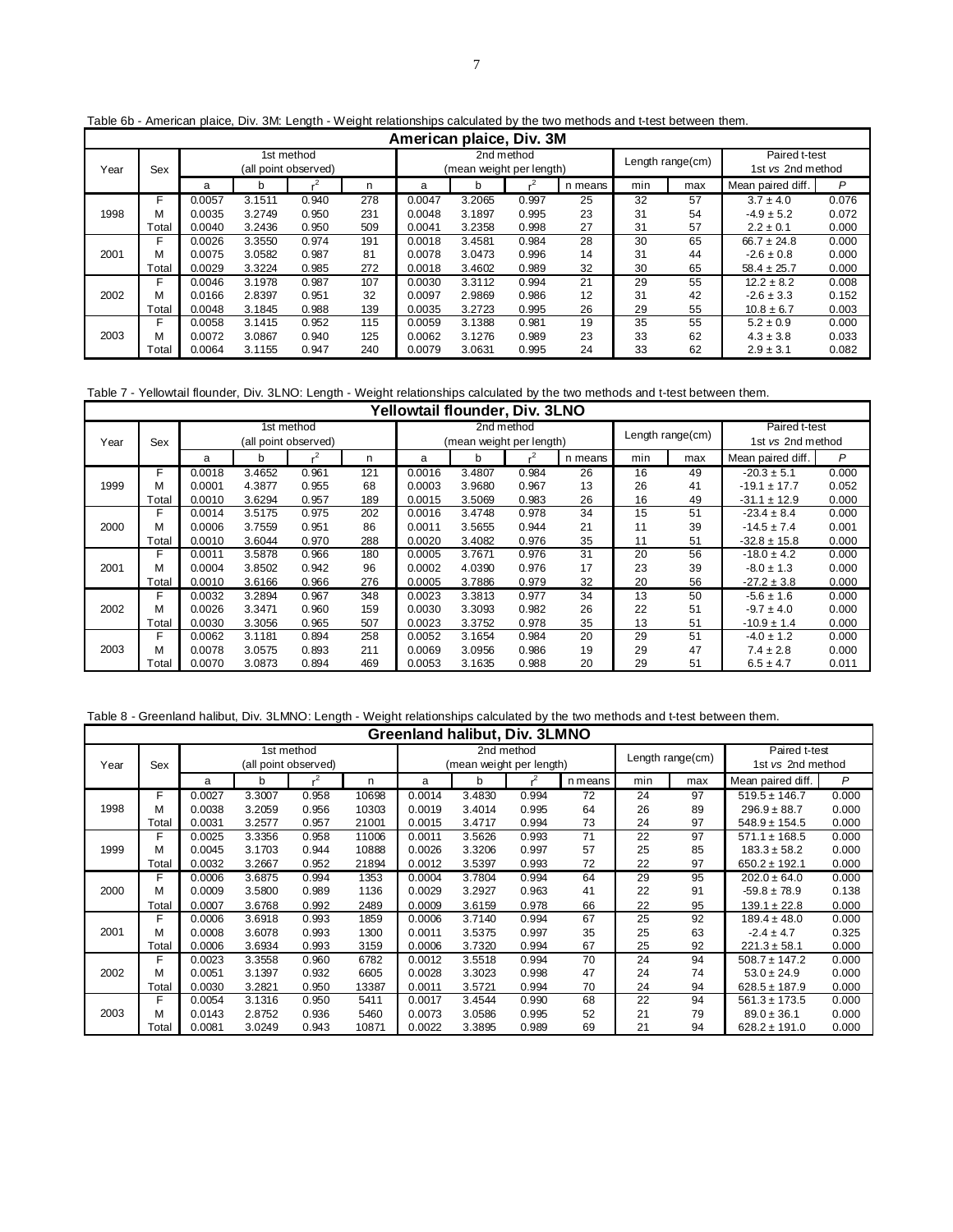|      | American plaice, Div. 3M |        |        |                      |     |        |                          |            |         |                  |     |                   |       |  |
|------|--------------------------|--------|--------|----------------------|-----|--------|--------------------------|------------|---------|------------------|-----|-------------------|-------|--|
|      |                          |        |        | 1st method           |     |        |                          | 2nd method |         | Length range(cm) |     | Paired t-test     |       |  |
| Year | Sex                      |        |        | (all point observed) |     |        | (mean weight per length) |            |         |                  |     | 1st vs 2nd method |       |  |
|      |                          | a      | b      |                      | n   | a      | b                        |            | n means | min              | max | Mean paired diff. | P     |  |
|      | F                        | 0.0057 | 3.1511 | 0.940                | 278 | 0.0047 | 3.2065                   | 0.997      | 25      | 32               | 57  | $3.7 \pm 4.0$     | 0.076 |  |
| 1998 | м                        | 0.0035 | 3.2749 | 0.950                | 231 | 0.0048 | 3.1897                   | 0.995      | 23      | 31               | 54  | $-4.9 \pm 5.2$    | 0.072 |  |
|      | Total                    | 0.0040 | 3.2436 | 0.950                | 509 | 0.0041 | 3.2358                   | 0.998      | 27      | 31               | 57  | $2.2 \pm 0.1$     | 0.000 |  |
|      | F                        | 0.0026 | 3.3550 | 0.974                | 191 | 0.0018 | 3.4581                   | 0.984      | 28      | 30               | 65  | $66.7 \pm 24.8$   | 0.000 |  |
| 2001 | м                        | 0.0075 | 3.0582 | 0.987                | 81  | 0.0078 | 3.0473                   | 0.996      | 14      | 31               | 44  | $-2.6 \pm 0.8$    | 0.000 |  |
|      | Total                    | 0.0029 | 3.3224 | 0.985                | 272 | 0.0018 | 3.4602                   | 0.989      | 32      | 30               | 65  | $58.4 \pm 25.7$   | 0.000 |  |
|      | F                        | 0.0046 | 3.1978 | 0.987                | 107 | 0.0030 | 3.3112                   | 0.994      | 21      | 29               | 55  | $12.2 \pm 8.2$    | 0.008 |  |
| 2002 | м                        | 0.0166 | 2.8397 | 0.951                | 32  | 0.0097 | 2.9869                   | 0.986      | 12      | 31               | 42  | $-2.6 \pm 3.3$    | 0.152 |  |
|      | Total                    | 0.0048 | 3.1845 | 0.988                | 139 | 0.0035 | 3.2723                   | 0.995      | 26      | 29               | 55  | $10.8 \pm 6.7$    | 0.003 |  |
|      | F                        | 0.0058 | 3.1415 | 0.952                | 115 | 0.0059 | 3.1388                   | 0.981      | 19      | 35               | 55  | $5.2 \pm 0.9$     | 0.000 |  |
| 2003 | м                        | 0.0072 | 3.0867 | 0.940                | 125 | 0.0062 | 3.1276                   | 0.989      | 23      | 33               | 62  | $4.3 \pm 3.8$     | 0.033 |  |
|      | Total                    | 0.0064 | 3.1155 | 0.947                | 240 | 0.0079 | 3.0631                   | 0.995      | 24      | 33               | 62  | $2.9 \pm 3.1$     | 0.082 |  |

Table 6b - American plaice, Div. 3M: Length - Weight relationships calculated by the two methods and t-test between them.

Table 7 - Yellowtail flounder, Div. 3LNO: Length - Weight relationships calculated by the two methods and t-test between them.

|      |       |        |        |                      |     | Yellowtail flounder, Div. 3LNO |                          |            |         |                  |     |                   |       |
|------|-------|--------|--------|----------------------|-----|--------------------------------|--------------------------|------------|---------|------------------|-----|-------------------|-------|
|      |       |        |        | 1st method           |     |                                |                          | 2nd method |         |                  |     | Paired t-test     |       |
| Year | Sex   |        |        | (all point observed) |     |                                | (mean weight per length) |            |         | Length range(cm) |     | 1st vs 2nd method |       |
|      |       | a      | b      |                      | n   | a                              | b                        |            | n means | min              | max | Mean paired diff. | P     |
|      | F     | 0.0018 | 3.4652 | 0.961                | 121 | 0.0016                         | 3.4807                   | 0.984      | 26      | 16               | 49  | $-20.3 \pm 5.1$   | 0.000 |
| 1999 | м     | 0.0001 | 4.3877 | 0.955                | 68  | 0.0003                         | 3.9680                   | 0.967      | 13      | 26               | 41  | $-19.1 \pm 17.7$  | 0.052 |
|      | Total | 0.0010 | 3.6294 | 0.957                | 189 | 0.0015                         | 3.5069                   | 0.983      | 26      | 16               | 49  | $-31.1 \pm 12.9$  | 0.000 |
|      | F     | 0.0014 | 3.5175 | 0.975                | 202 | 0.0016                         | 3.4748                   | 0.978      | 34      | 15               | 51  | $-23.4 \pm 8.4$   | 0.000 |
| 2000 | м     | 0.0006 | 3.7559 | 0.951                | 86  | 0.0011                         | 3.5655                   | 0.944      | 21      | 11               | 39  | $-14.5 \pm 7.4$   | 0.001 |
|      | Total | 0.0010 | 3.6044 | 0.970                | 288 | 0.0020                         | 3.4082                   | 0.976      | 35      | 11               | 51  | $-32.8 \pm 15.8$  | 0.000 |
|      | F     | 0.0011 | 3.5878 | 0.966                | 180 | 0.0005                         | 3.7671                   | 0.976      | 31      | 20               | 56  | $-18.0 \pm 4.2$   | 0.000 |
| 2001 | м     | 0.0004 | 3.8502 | 0.942                | 96  | 0.0002                         | 4.0390                   | 0.976      | 17      | 23               | 39  | $-8.0 \pm 1.3$    | 0.000 |
|      | Total | 0.0010 | 3.6166 | 0.966                | 276 | 0.0005                         | 3.7886                   | 0.979      | 32      | 20               | 56  | $-27.2 \pm 3.8$   | 0.000 |
|      | F     | 0.0032 | 3.2894 | 0.967                | 348 | 0.0023                         | 3.3813                   | 0.977      | 34      | 13               | 50  | $-5.6 \pm 1.6$    | 0.000 |
| 2002 | м     | 0.0026 | 3.3471 | 0.960                | 159 | 0.0030                         | 3.3093                   | 0.982      | 26      | 22               | 51  | $-9.7 \pm 4.0$    | 0.000 |
|      | Total | 0.0030 | 3.3056 | 0.965                | 507 | 0.0023                         | 3.3752                   | 0.978      | 35      | 13               | 51  | $-10.9 \pm 1.4$   | 0.000 |
|      | F     | 0.0062 | 3.1181 | 0.894                | 258 | 0.0052                         | 3.1654                   | 0.984      | 20      | 29               | 51  | $-4.0 \pm 1.2$    | 0.000 |
| 2003 | м     | 0.0078 | 3.0575 | 0.893                | 211 | 0.0069                         | 3.0956                   | 0.986      | 19      | 29               | 47  | $7.4 \pm 2.8$     | 0.000 |
|      | Total | 0.0070 | 3.0873 | 0.894                | 469 | 0.0053                         | 3.1635                   | 0.988      | 20      | 29               | 51  | $6.5 \pm 4.7$     | 0.011 |

Table 8 - Greenland halibut, Div. 3LMNO: Length - Weight relationships calculated by the two methods and t-test between them.

|      |       |        |        |                                    |       |        | Greenland halibut, Div. 3LMNO |            |         |                  |     |                                    |       |
|------|-------|--------|--------|------------------------------------|-------|--------|-------------------------------|------------|---------|------------------|-----|------------------------------------|-------|
| Year | Sex   |        |        | 1st method<br>(all point observed) |       |        | (mean weight per length)      | 2nd method |         | Length range(cm) |     | Paired t-test<br>1st vs 2nd method |       |
|      |       | a      | b      |                                    | n     | a      | b                             |            | n means | min              | max | Mean paired diff.                  | P     |
|      | F     | 0.0027 | 3.3007 | 0.958                              | 10698 | 0.0014 | 3.4830                        | 0.994      | 72      | 24               | 97  | $519.5 \pm 146.7$                  | 0.000 |
| 1998 | м     | 0.0038 | 3.2059 | 0.956                              | 10303 | 0.0019 | 3.4014                        | 0.995      | 64      | 26               | 89  | $296.9 \pm 88.7$                   | 0.000 |
|      | Total | 0.0031 | 3.2577 | 0.957                              | 21001 | 0.0015 | 3.4717                        | 0.994      | 73      | 24               | 97  | $548.9 \pm 154.5$                  | 0.000 |
|      | F     | 0.0025 | 3.3356 | 0.958                              | 11006 | 0.0011 | 3.5626                        | 0.993      | 71      | 22               | 97  | $571.1 \pm 168.5$                  | 0.000 |
| 1999 | М     | 0.0045 | 3.1703 | 0.944                              | 10888 | 0.0026 | 3.3206                        | 0.997      | 57      | 25               | 85  | $183.3 \pm 58.2$                   | 0.000 |
|      | Total | 0.0032 | 3.2667 | 0.952                              | 21894 | 0.0012 | 3.5397                        | 0.993      | 72      | 22               | 97  | $650.2 \pm 192.1$                  | 0.000 |
|      | F     | 0.0006 | 3.6875 | 0.994                              | 1353  | 0.0004 | 3.7804                        | 0.994      | 64      | 29               | 95  | $202.0 \pm 64.0$                   | 0.000 |
| 2000 | М     | 0.0009 | 3.5800 | 0.989                              | 1136  | 0.0029 | 3.2927                        | 0.963      | 41      | 22               | 91  | $-59.8 \pm 78.9$                   | 0.138 |
|      | Total | 0.0007 | 3.6768 | 0.992                              | 2489  | 0.0009 | 3.6159                        | 0.978      | 66      | 22               | 95  | $139.1 \pm 22.8$                   | 0.000 |
|      | F     | 0.0006 | 3.6918 | 0.993                              | 1859  | 0.0006 | 3.7140                        | 0.994      | 67      | 25               | 92  | $189.4 \pm 48.0$                   | 0.000 |
| 2001 | м     | 0.0008 | 3.6078 | 0.993                              | 1300  | 0.0011 | 3.5375                        | 0.997      | 35      | 25               | 63  | $-2.4 \pm 4.7$                     | 0.325 |
|      | Total | 0.0006 | 3.6934 | 0.993                              | 3159  | 0.0006 | 3.7320                        | 0.994      | 67      | 25               | 92  | $221.3 \pm 58.1$                   | 0.000 |
|      | F     | 0.0023 | 3.3558 | 0.960                              | 6782  | 0.0012 | 3.5518                        | 0.994      | 70      | 24               | 94  | $508.7 \pm 147.2$                  | 0.000 |
| 2002 | м     | 0.0051 | 3.1397 | 0.932                              | 6605  | 0.0028 | 3.3023                        | 0.998      | 47      | 24               | 74  | $53.0 \pm 24.9$                    | 0.000 |
|      | Total | 0.0030 | 3.2821 | 0.950                              | 13387 | 0.0011 | 3.5721                        | 0.994      | 70      | 24               | 94  | $628.5 \pm 187.9$                  | 0.000 |
|      | E     | 0.0054 | 3.1316 | 0.950                              | 5411  | 0.0017 | 3.4544                        | 0.990      | 68      | 22               | 94  | $561.3 \pm 173.5$                  | 0.000 |
| 2003 | М     | 0.0143 | 2.8752 | 0.936                              | 5460  | 0.0073 | 3.0586                        | 0.995      | 52      | 21               | 79  | $89.0 \pm 36.1$                    | 0.000 |
|      | Total | 0.0081 | 3.0249 | 0.943                              | 10871 | 0.0022 | 3.3895                        | 0.989      | 69      | 21               | 94  | $628.2 \pm 191.0$                  | 0.000 |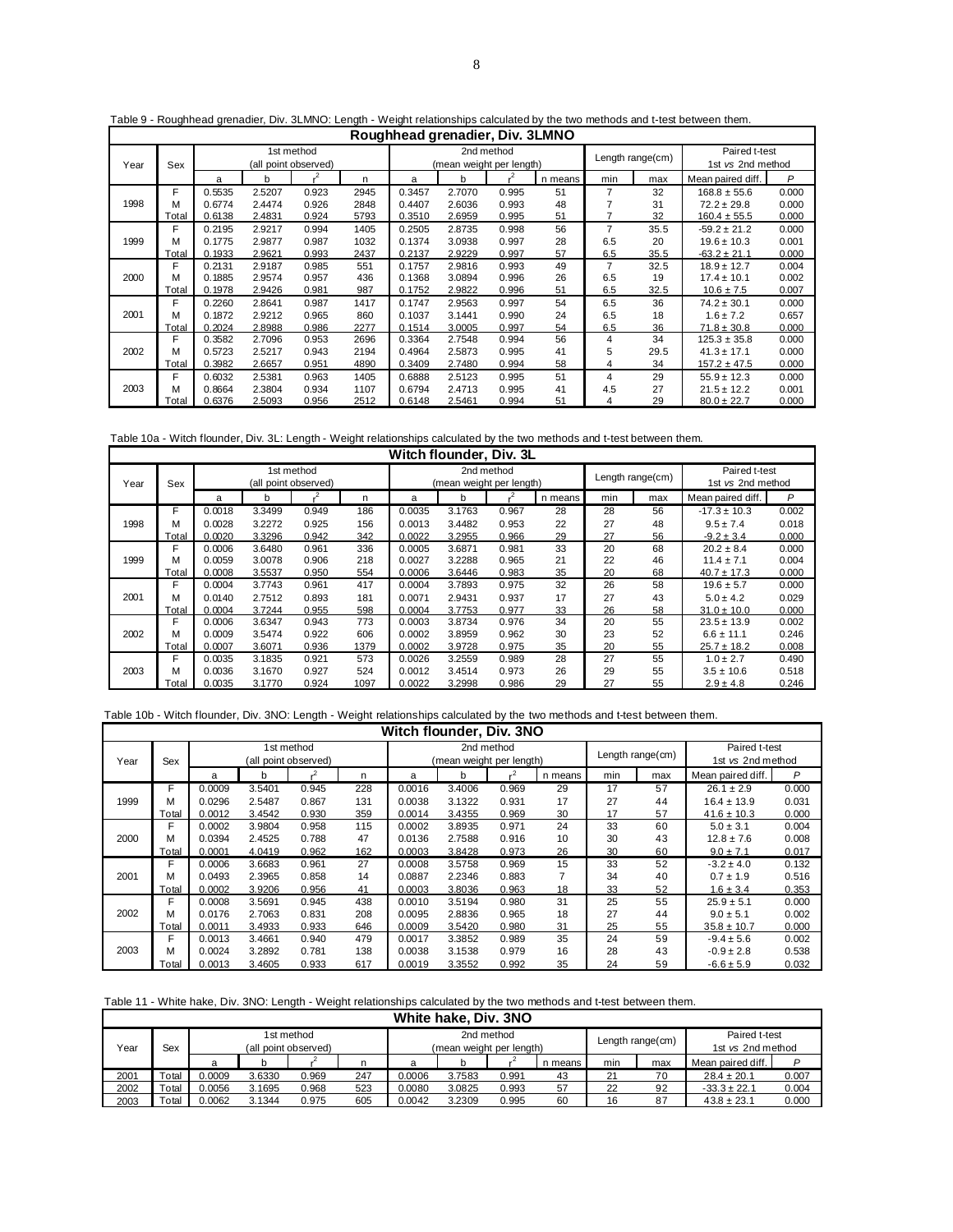|      |       |        |        |                      |      | Roughhead grenadier, Div. 3LMNO |                          |            |         |     |                  |                   |       |
|------|-------|--------|--------|----------------------|------|---------------------------------|--------------------------|------------|---------|-----|------------------|-------------------|-------|
|      |       |        |        | 1st method           |      |                                 |                          | 2nd method |         |     |                  | Paired t-test     |       |
| Year | Sex   |        |        | (all point observed) |      |                                 | (mean weight per length) |            |         |     | Length range(cm) | 1st vs 2nd method |       |
|      |       | a      | b      |                      | n    | a                               | b                        |            | n means | min | max              | Mean paired diff. | P     |
|      | F     | 0.5535 | 2.5207 | 0.923                | 2945 | 0.3457                          | 2.7070                   | 0.995      | 51      | 7   | 32               | $168.8 \pm 55.6$  | 0.000 |
| 1998 | м     | 0.6774 | 2.4474 | 0.926                | 2848 | 0.4407                          | 2.6036                   | 0.993      | 48      |     | 31               | $72.2 \pm 29.8$   | 0.000 |
|      | Total | 0.6138 | 2.4831 | 0.924                | 5793 | 0.3510                          | 2.6959                   | 0.995      | 51      |     | 32               | $160.4 \pm 55.5$  | 0.000 |
|      | F     | 0.2195 | 2.9217 | 0.994                | 1405 | 0.2505                          | 2.8735                   | 0.998      | 56      | 7   | 35.5             | $-59.2 \pm 21.2$  | 0.000 |
| 1999 | м     | 0.1775 | 2.9877 | 0.987                | 1032 | 0.1374                          | 3.0938                   | 0.997      | 28      | 6.5 | 20               | $19.6 \pm 10.3$   | 0.001 |
|      | Total | 0.1933 | 2.9621 | 0.993                | 2437 | 0.2137                          | 2.9229                   | 0.997      | 57      | 6.5 | 35.5             | $-63.2 \pm 21.1$  | 0.000 |
|      | F     | 0.2131 | 2.9187 | 0.985                | 551  | 0.1757                          | 2.9816                   | 0.993      | 49      | 7   | 32.5             | $18.9 \pm 12.7$   | 0.004 |
| 2000 | м     | 0.1885 | 2.9574 | 0.957                | 436  | 0.1368                          | 3.0894                   | 0.996      | 26      | 6.5 | 19               | $17.4 \pm 10.1$   | 0.002 |
|      | Total | 0.1978 | 2.9426 | 0.981                | 987  | 0.1752                          | 2.9822                   | 0.996      | 51      | 6.5 | 32.5             | $10.6 \pm 7.5$    | 0.007 |
|      | F     | 0.2260 | 2.8641 | 0.987                | 1417 | 0.1747                          | 2.9563                   | 0.997      | 54      | 6.5 | 36               | $74.2 \pm 30.1$   | 0.000 |
| 2001 | м     | 0.1872 | 2.9212 | 0.965                | 860  | 0.1037                          | 3.1441                   | 0.990      | 24      | 6.5 | 18               | $1.6 \pm 7.2$     | 0.657 |
|      | Total | 0.2024 | 2.8988 | 0.986                | 2277 | 0.1514                          | 3.0005                   | 0.997      | 54      | 6.5 | 36               | $71.8 \pm 30.8$   | 0.000 |
|      | F     | 0.3582 | 2.7096 | 0.953                | 2696 | 0.3364                          | 2.7548                   | 0.994      | 56      | 4   | 34               | $125.3 \pm 35.8$  | 0.000 |
| 2002 | м     | 0.5723 | 2.5217 | 0.943                | 2194 | 0.4964                          | 2.5873                   | 0.995      | 41      | 5   | 29.5             | $41.3 \pm 17.1$   | 0.000 |
|      | Total | 0.3982 | 2.6657 | 0.951                | 4890 | 0.3409                          | 2.7480                   | 0.994      | 58      | 4   | 34               | $157.2 \pm 47.5$  | 0.000 |
|      | F     | 0.6032 | 2.5381 | 0.963                | 1405 | 0.6888                          | 2.5123                   | 0.995      | 51      | 4   | 29               | $55.9 \pm 12.3$   | 0.000 |
| 2003 | м     | 0.8664 | 2.3804 | 0.934                | 1107 | 0.6794                          | 2.4713                   | 0.995      | 41      | 4.5 | 27               | $21.5 \pm 12.2$   | 0.001 |
|      | Total | 0.6376 | 2.5093 | 0.956                | 2512 | 0.6148                          | 2.5461                   | 0.994      | 51      | 4   | 29               | $80.0 \pm 22.7$   | 0.000 |

### Table 9 - Roughhead grenadier, Div. 3LMNO: Length - Weight relationships calculated by the two methods and t-test between them.

Table 10a - Witch flounder, Div. 3L: Length - Weight relationships calculated by the two methods and t-test between them.

|      |       |        |        |                                    |      | Witch flounder, Div. 3L |                          |            |         |                  |     |                                    |       |
|------|-------|--------|--------|------------------------------------|------|-------------------------|--------------------------|------------|---------|------------------|-----|------------------------------------|-------|
| Year | Sex   |        |        | 1st method<br>(all point observed) |      |                         | (mean weight per length) | 2nd method |         | Length range(cm) |     | Paired t-test<br>1st vs 2nd method |       |
|      |       | a      | b      |                                    | n    | a                       | b                        |            | n means | min              | max | Mean paired diff.                  | P     |
|      | F     | 0.0018 | 3.3499 | 0.949                              | 186  | 0.0035                  | 3.1763                   | 0.967      | 28      | 28               | 56  | $-17.3 \pm 10.3$                   | 0.002 |
| 1998 | M     | 0.0028 | 3.2272 | 0.925                              | 156  | 0.0013                  | 3.4482                   | 0.953      | 22      | 27               | 48  | $9.5 \pm 7.4$                      | 0.018 |
|      | Total | 0.0020 | 3.3296 | 0.942                              | 342  | 0.0022                  | 3.2955                   | 0.966      | 29      | 27               | 56  | $-9.2 \pm 3.4$                     | 0.000 |
|      | F     | 0.0006 | 3.6480 | 0.961                              | 336  | 0.0005                  | 3.6871                   | 0.981      | 33      | 20               | 68  | $20.2 \pm 8.4$                     | 0.000 |
| 1999 | M     | 0.0059 | 3.0078 | 0.906                              | 218  | 0.0027                  | 3.2288                   | 0.965      | 21      | 22               | 46  | $11.4 \pm 7.1$                     | 0.004 |
|      | Total | 0.0008 | 3.5537 | 0.950                              | 554  | 0.0006                  | 3.6446                   | 0.983      | 35      | 20               | 68  | $40.7 \pm 17.3$                    | 0.000 |
|      | F     | 0.0004 | 3.7743 | 0.961                              | 417  | 0.0004                  | 3.7893                   | 0.975      | 32      | 26               | 58  | $19.6 \pm 5.7$                     | 0.000 |
| 2001 | M     | 0.0140 | 2.7512 | 0.893                              | 181  | 0.0071                  | 2.9431                   | 0.937      | 17      | 27               | 43  | $5.0 \pm 4.2$                      | 0.029 |
|      | Total | 0.0004 | 3.7244 | 0.955                              | 598  | 0.0004                  | 3.7753                   | 0.977      | 33      | 26               | 58  | $31.0 \pm 10.0$                    | 0.000 |
|      | F     | 0.0006 | 3.6347 | 0.943                              | 773  | 0.0003                  | 3.8734                   | 0.976      | 34      | 20               | 55  | $23.5 \pm 13.9$                    | 0.002 |
| 2002 | M     | 0.0009 | 3.5474 | 0.922                              | 606  | 0.0002                  | 3.8959                   | 0.962      | 30      | 23               | 52  | $6.6 \pm 11.1$                     | 0.246 |
|      | Total | 0.0007 | 3.6071 | 0.936                              | 1379 | 0.0002                  | 3.9728                   | 0.975      | 35      | 20               | 55  | $25.7 \pm 18.2$                    | 0.008 |
|      | F     | 0.0035 | 3.1835 | 0.921                              | 573  | 0.0026                  | 3.2559                   | 0.989      | 28      | 27               | 55  | $1.0 \pm 2.7$                      | 0.490 |
| 2003 | М     | 0.0036 | 3.1670 | 0.927                              | 524  | 0.0012                  | 3.4514                   | 0.973      | 26      | 29               | 55  | $3.5 \pm 10.6$                     | 0.518 |
|      | Total | 0.0035 | 3.1770 | 0.924                              | 1097 | 0.0022                  | 3.2998                   | 0.986      | 29      | 27               | 55  | $2.9 \pm 4.8$                      | 0.246 |

#### Table 10b - Witch flounder, Div. 3NO: Length - Weight relationships calculated by the two methods and t-test between them.

|      |       |        |        |                      |     |        | Witch flounder, Div. 3NO |       |         |     |                  |                   |       |
|------|-------|--------|--------|----------------------|-----|--------|--------------------------|-------|---------|-----|------------------|-------------------|-------|
|      |       |        |        | 1st method           |     |        | 2nd method               |       |         |     | Length range(cm) | Paired t-test     |       |
| Year | Sex   |        |        | (all point observed) |     |        | mean weight per length)  |       |         |     |                  | 1st vs 2nd method |       |
|      |       | a      | b      |                      | n   | a      | b                        |       | n means | min | max              | Mean paired diff. | P     |
|      | F     | 0.0009 | 3.5401 | 0.945                | 228 | 0.0016 | 3.4006                   | 0.969 | 29      | 17  | 57               | $26.1 \pm 2.9$    | 0.000 |
| 1999 | м     | 0.0296 | 2.5487 | 0.867                | 131 | 0.0038 | 3.1322                   | 0.931 | 17      | 27  | 44               | $16.4 \pm 13.9$   | 0.031 |
|      | Total | 0.0012 | 3.4542 | 0.930                | 359 | 0.0014 | 3.4355                   | 0.969 | 30      | 17  | 57               | $41.6 \pm 10.3$   | 0.000 |
|      | F     | 0.0002 | 3.9804 | 0.958                | 115 | 0.0002 | 3.8935                   | 0.971 | 24      | 33  | 60               | $5.0 \pm 3.1$     | 0.004 |
| 2000 | м     | 0.0394 | 2.4525 | 0.788                | 47  | 0.0136 | 2.7588                   | 0.916 | 10      | 30  | 43               | $12.8 \pm 7.6$    | 0.008 |
|      | Total | 0.0001 | 4.0419 | 0.962                | 162 | 0.0003 | 3.8428                   | 0.973 | 26      | 30  | 60               | $9.0 \pm 7.1$     | 0.017 |
|      | F     | 0.0006 | 3.6683 | 0.961                | 27  | 0.0008 | 3.5758                   | 0.969 | 15      | 33  | 52               | $-3.2 \pm 4.0$    | 0.132 |
| 2001 | М     | 0.0493 | 2.3965 | 0.858                | 14  | 0.0887 | 2.2346                   | 0.883 |         | 34  | 40               | $0.7 \pm 1.9$     | 0.516 |
|      | Total | 0.0002 | 3.9206 | 0.956                | 41  | 0.0003 | 3.8036                   | 0.963 | 18      | 33  | 52               | $1.6 \pm 3.4$     | 0.353 |
|      | F     | 0.0008 | 3.5691 | 0.945                | 438 | 0.0010 | 3.5194                   | 0.980 | 31      | 25  | 55               | $25.9 \pm 5.1$    | 0.000 |
| 2002 | М     | 0.0176 | 2.7063 | 0.831                | 208 | 0.0095 | 2.8836                   | 0.965 | 18      | 27  | 44               | $9.0 \pm 5.1$     | 0.002 |
|      | Total | 0.0011 | 3.4933 | 0.933                | 646 | 0.0009 | 3.5420                   | 0.980 | 31      | 25  | 55               | $35.8 \pm 10.7$   | 0.000 |
|      | F     | 0.0013 | 3.4661 | 0.940                | 479 | 0.0017 | 3.3852                   | 0.989 | 35      | 24  | 59               | $-9.4 \pm 5.6$    | 0.002 |
| 2003 | М     | 0.0024 | 3.2892 | 0.781                | 138 | 0.0038 | 3.1538                   | 0.979 | 16      | 28  | 43               | $-0.9 \pm 2.8$    | 0.538 |
|      | Total | 0.0013 | 3.4605 | 0.933                | 617 | 0.0019 | 3.3552                   | 0.992 | 35      | 24  | 59               | $-6.6 \pm 5.9$    | 0.032 |

# Table 11 - White hake, Div. 3NO: Length - Weight relationships calculated by the two methods and t-test between them.

|      | White hake, Div. 3NO |        |        |                      |     |                          |        |            |         |     |                                       |                   |       |  |
|------|----------------------|--------|--------|----------------------|-----|--------------------------|--------|------------|---------|-----|---------------------------------------|-------------------|-------|--|
|      |                      |        |        | 1st method           |     |                          |        | 2nd method |         |     |                                       | Paired t-test     |       |  |
| Year | Sex                  |        |        | (all point observed) |     | (mean weight per length) |        |            |         |     | Length range(cm)<br>1st vs 2nd method |                   |       |  |
|      |                      | a      |        |                      | n   | a                        |        |            | n means | min | max                                   | Mean paired diff. |       |  |
| 2001 | Total                | 0.0009 | 3.6330 | 0.969                | 247 | 0.0006                   | 3.7583 | 0.991      | 43      | 21  | 70                                    | $28.4 \pm 20.1$   | 0.007 |  |
| 2002 | $\tau$ otal          | 0.0056 | 3.1695 | 0.968                | 523 | 0.0080                   | 3.0825 | 0.993      | 57      | 22  | 92                                    | $-33.3 \pm 22.1$  | 0.004 |  |
| 2003 | $\tau$ otal          | 0.0062 | 3.1344 | 0.975                | 605 | 0.0042                   | 3.2309 | 0.995      | 60      | 16  | 87                                    | $43.8 \pm 23.1$   | 0.000 |  |